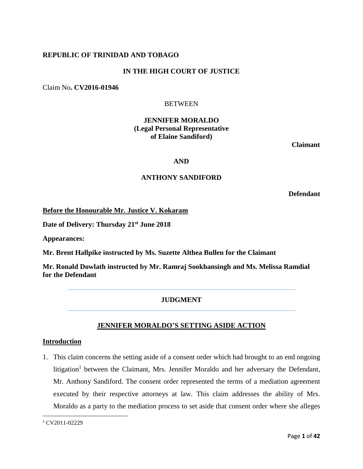## **REPUBLIC OF TRINIDAD AND TOBAGO**

## **IN THE HIGH COURT OF JUSTICE**

Claim No**. CV2016-01946**

## **BETWEEN**

## **JENNIFER MORALDO (Legal Personal Representative of Elaine Sandiford)**

**Claimant**

## **AND**

## **ANTHONY SANDIFORD**

**Defendant**

**Before the Honourable Mr. Justice V. Kokaram**

**Date of Delivery: Thursday 21st June 2018**

**Appearances:**

**Mr. Brent Hallpike instructed by Ms. Suzette Althea Bullen for the Claimant**

**Mr. Ronald Dowlath instructed by Mr. Ramraj Sookhansingh and Ms. Melissa Ramdial for the Defendant**

## **JUDGMENT**

## **JENNIFER MORALDO'S SETTING ASIDE ACTION**

## **Introduction**

1. This claim concerns the setting aside of a consent order which had brought to an end ongoing litigation<sup>1</sup> between the Claimant, Mrs. Jennifer Moraldo and her adversary the Defendant, Mr. Anthony Sandiford. The consent order represented the terms of a mediation agreement executed by their respective attorneys at law. This claim addresses the ability of Mrs. Moraldo as a party to the mediation process to set aside that consent order where she alleges

 $\overline{\phantom{a}}$ 

<sup>1</sup> CV2011-02229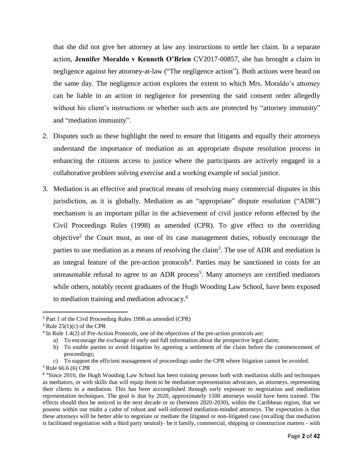that she did not give her attorney at law any instructions to settle her claim. In a separate action, **Jennifer Moraldo v Kenneth O'Brien** CV2017-00857, she has brought a claim in negligence against her attorney-at-law ("The negligence action"). Both actions were heard on the same day. The negligence action explores the extent to which Mrs. Moraldo's attorney can be liable in an action in negligence for presenting the said consent order allegedly without his client's instructions or whether such acts are protected by "attorney immunity" and "mediation immunity".

- 2. Disputes such as these highlight the need to ensure that litigants and equally their attorneys understand the importance of mediation as an appropriate dispute resolution process in enhancing the citizens access to justice where the participants are actively engaged in a collaborative problem solving exercise and a working example of social justice.
- 3. Mediation is an effective and practical means of resolving many commercial disputes in this jurisdiction, as it is globally. Mediation as an "appropriate" dispute resolution ("ADR") mechanism is an important pillar in the achievement of civil justice reform effected by the Civil Proceedings Rules (1998) as amended (CPR). To give effect to the overriding objective<sup>2</sup> the Court must, as one of its case management duties, robustly encourage the parties to use mediation as a means of resolving the claim<sup>3</sup>. The use of ADR and mediation is an integral feature of the pre-action protocols<sup>4</sup>. Parties may be sanctioned in costs for an unreasonable refusal to agree to an ADR process<sup>5</sup>. Many attorneys are certified mediators while others, notably recent graduates of the Hugh Wooding Law School, have been exposed to mediation training and mediation advocacy. 6

 $\overline{a}$ 

<sup>2</sup> Part 1 of the Civil Proceeding Rules 1998 as amended (CPR)

 $3$  Rule 25(1)(c) of the CPR

<sup>&</sup>lt;sup>4</sup> In Rule 1.4(2) of Pre-Action Protocols, one of the objectives of the pre-action protocols are:

a) To encourage the exchange of early and full information about the prospective legal claim;

b) To enable parties to avoid litigation by agreeing a settlement of the claim before the commencement of proceedings;

c) To support the efficient management of proceedings under the CPR where litigation cannot be avoided. <sup>5</sup> Rule 66.6 (6) CPR

<sup>&</sup>lt;sup>6</sup> "Since 2010, the Hugh Wooding Law School has been training persons both with mediation skills and techniques as mediators, or with skills that will equip them to be mediation representation advocates, as attorneys, representing their clients in a mediation. This has been accomplished through early exposure to negotiation and mediation representation techniques. The goal is that by 2020, approximately 1500 attorneys would have been trained. The effects should then be noticed in the next decade or so (between 2020-2030), within the Caribbean region, that we possess within our midst a cadre of robust and well-informed mediation-minded attorneys. The expectation is that these attorneys will be better able to negotiate or mediate the litigated or non-litigated case (recalling that mediation is facilitated negotiation with a third party neutral)– be it family, commercial, shipping or construction matters - with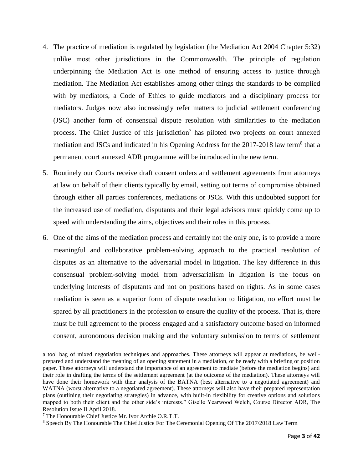- 4. The practice of mediation is regulated by legislation (the Mediation Act 2004 Chapter 5:32) unlike most other jurisdictions in the Commonwealth. The principle of regulation underpinning the Mediation Act is one method of ensuring access to justice through mediation. The Mediation Act establishes among other things the standards to be complied with by mediators, a Code of Ethics to guide mediators and a disciplinary process for mediators. Judges now also increasingly refer matters to judicial settlement conferencing (JSC) another form of consensual dispute resolution with similarities to the mediation process. The Chief Justice of this jurisdiction<sup>7</sup> has piloted two projects on court annexed mediation and JSCs and indicated in his Opening Address for the 2017-2018 law term<sup>8</sup> that a permanent court annexed ADR programme will be introduced in the new term.
- 5. Routinely our Courts receive draft consent orders and settlement agreements from attorneys at law on behalf of their clients typically by email, setting out terms of compromise obtained through either all parties conferences, mediations or JSCs. With this undoubted support for the increased use of mediation, disputants and their legal advisors must quickly come up to speed with understanding the aims, objectives and their roles in this process.
- 6. One of the aims of the mediation process and certainly not the only one, is to provide a more meaningful and collaborative problem-solving approach to the practical resolution of disputes as an alternative to the adversarial model in litigation. The key difference in this consensual problem-solving model from adversarialism in litigation is the focus on underlying interests of disputants and not on positions based on rights. As in some cases mediation is seen as a superior form of dispute resolution to litigation, no effort must be spared by all practitioners in the profession to ensure the quality of the process. That is, there must be full agreement to the process engaged and a satisfactory outcome based on informed consent, autonomous decision making and the voluntary submission to terms of settlement

 $\overline{a}$ 

a tool bag of mixed negotiation techniques and approaches. These attorneys will appear at mediations, be wellprepared and understand the meaning of an opening statement in a mediation, or be ready with a briefing or position paper. These attorneys will understand the importance of an agreement to mediate (before the mediation begins) and their role in drafting the terms of the settlement agreement (at the outcome of the mediation). These attorneys will have done their homework with their analysis of the BATNA (best alternative to a negotiated agreement) and WATNA (worst alternative to a negotiated agreement). These attorneys will also have their prepared representation plans (outlining their negotiating strategies) in advance, with built-in flexibility for creative options and solutions mapped to both their client and the other side's interests." Giselle Yearwood Welch, Course Director ADR, The Resolution Issue II April 2018.

<sup>7</sup> The Honourable Chief Justice Mr. Ivor Archie O.R.T.T.

<sup>8</sup> Speech By The Honourable The Chief Justice For The Ceremonial Opening Of The 2017/2018 Law Term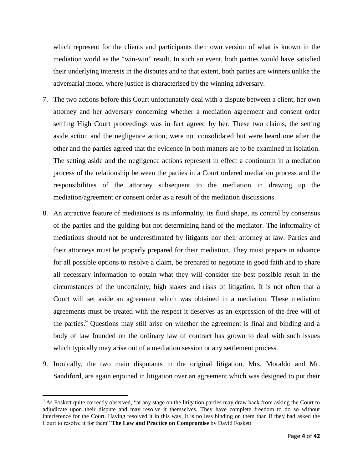which represent for the clients and participants their own version of what is known in the mediation world as the "win-win" result. In such an event, both parties would have satisfied their underlying interests in the disputes and to that extent, both parties are winners unlike the adversarial model where justice is characterised by the winning adversary.

- 7. The two actions before this Court unfortunately deal with a dispute between a client, her own attorney and her adversary concerning whether a mediation agreement and consent order settling High Court proceedings was in fact agreed by her. These two claims, the setting aside action and the negligence action, were not consolidated but were heard one after the other and the parties agreed that the evidence in both matters are to be examined in isolation. The setting aside and the negligence actions represent in effect a continuum in a mediation process of the relationship between the parties in a Court ordered mediation process and the responsibilities of the attorney subsequent to the mediation in drawing up the mediation/agreement or consent order as a result of the mediation discussions.
- 8. An attractive feature of mediations is its informality, its fluid shape, its control by consensus of the parties and the guiding but not determining hand of the mediator. The informality of mediations should not be underestimated by litigants nor their attorney at law. Parties and their attorneys must be properly prepared for their mediation. They must prepare in advance for all possible options to resolve a claim, be prepared to negotiate in good faith and to share all necessary information to obtain what they will consider the best possible result in the circumstances of the uncertainty, high stakes and risks of litigation. It is not often that a Court will set aside an agreement which was obtained in a mediation. These mediation agreements must be treated with the respect it deserves as an expression of the free will of the parties.<sup>9</sup> Questions may still arise on whether the agreement is final and binding and a body of law founded on the ordinary law of contract has grown to deal with such issues which typically may arise out of a mediation session or any settlement process.
- 9. Ironically, the two main disputants in the original litigation, Mrs. Moraldo and Mr. Sandiford, are again enjoined in litigation over an agreement which was designed to put their

 $\overline{\phantom{a}}$ 

<sup>9</sup> As Foskett quite correctly observed, "at any stage on the litigation parties may draw back from asking the Court to adjudicate upon their dispute and may resolve it themselves. They have complete freedom to do so without interference for the Court. Having resolved it in this way, it is no less binding on them than if they had asked the Court to resolve it for them" **The Law and Practice on Compromise** by David Foskett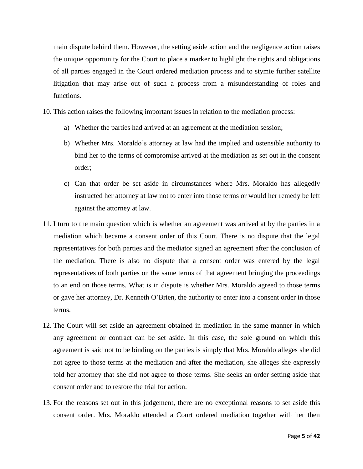main dispute behind them. However, the setting aside action and the negligence action raises the unique opportunity for the Court to place a marker to highlight the rights and obligations of all parties engaged in the Court ordered mediation process and to stymie further satellite litigation that may arise out of such a process from a misunderstanding of roles and functions.

- 10. This action raises the following important issues in relation to the mediation process:
	- a) Whether the parties had arrived at an agreement at the mediation session;
	- b) Whether Mrs. Moraldo's attorney at law had the implied and ostensible authority to bind her to the terms of compromise arrived at the mediation as set out in the consent order;
	- c) Can that order be set aside in circumstances where Mrs. Moraldo has allegedly instructed her attorney at law not to enter into those terms or would her remedy be left against the attorney at law.
- 11. I turn to the main question which is whether an agreement was arrived at by the parties in a mediation which became a consent order of this Court. There is no dispute that the legal representatives for both parties and the mediator signed an agreement after the conclusion of the mediation. There is also no dispute that a consent order was entered by the legal representatives of both parties on the same terms of that agreement bringing the proceedings to an end on those terms. What is in dispute is whether Mrs. Moraldo agreed to those terms or gave her attorney, Dr. Kenneth O'Brien, the authority to enter into a consent order in those terms.
- 12. The Court will set aside an agreement obtained in mediation in the same manner in which any agreement or contract can be set aside. In this case, the sole ground on which this agreement is said not to be binding on the parties is simply that Mrs. Moraldo alleges she did not agree to those terms at the mediation and after the mediation, she alleges she expressly told her attorney that she did not agree to those terms. She seeks an order setting aside that consent order and to restore the trial for action.
- 13. For the reasons set out in this judgement, there are no exceptional reasons to set aside this consent order. Mrs. Moraldo attended a Court ordered mediation together with her then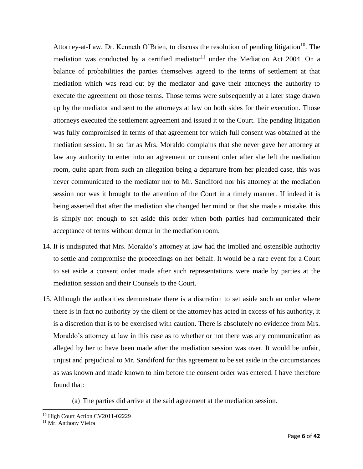Attorney-at-Law, Dr. Kenneth O'Brien, to discuss the resolution of pending litigation<sup>10</sup>. The mediation was conducted by a certified mediator<sup>11</sup> under the Mediation Act 2004. On a balance of probabilities the parties themselves agreed to the terms of settlement at that mediation which was read out by the mediator and gave their attorneys the authority to execute the agreement on those terms. Those terms were subsequently at a later stage drawn up by the mediator and sent to the attorneys at law on both sides for their execution. Those attorneys executed the settlement agreement and issued it to the Court. The pending litigation was fully compromised in terms of that agreement for which full consent was obtained at the mediation session. In so far as Mrs. Moraldo complains that she never gave her attorney at law any authority to enter into an agreement or consent order after she left the mediation room, quite apart from such an allegation being a departure from her pleaded case, this was never communicated to the mediator nor to Mr. Sandiford nor his attorney at the mediation session nor was it brought to the attention of the Court in a timely manner. If indeed it is being asserted that after the mediation she changed her mind or that she made a mistake, this is simply not enough to set aside this order when both parties had communicated their acceptance of terms without demur in the mediation room.

- 14. It is undisputed that Mrs. Moraldo's attorney at law had the implied and ostensible authority to settle and compromise the proceedings on her behalf. It would be a rare event for a Court to set aside a consent order made after such representations were made by parties at the mediation session and their Counsels to the Court.
- 15. Although the authorities demonstrate there is a discretion to set aside such an order where there is in fact no authority by the client or the attorney has acted in excess of his authority, it is a discretion that is to be exercised with caution. There is absolutely no evidence from Mrs. Moraldo's attorney at law in this case as to whether or not there was any communication as alleged by her to have been made after the mediation session was over. It would be unfair, unjust and prejudicial to Mr. Sandiford for this agreement to be set aside in the circumstances as was known and made known to him before the consent order was entered. I have therefore found that:

(a) The parties did arrive at the said agreement at the mediation session.

 $\overline{\phantom{a}}$ <sup>10</sup> High Court Action CV2011-02229

<sup>&</sup>lt;sup>11</sup> Mr. Anthony Vieira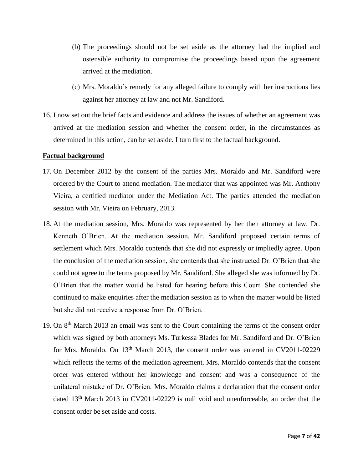- (b) The proceedings should not be set aside as the attorney had the implied and ostensible authority to compromise the proceedings based upon the agreement arrived at the mediation.
- (c) Mrs. Moraldo's remedy for any alleged failure to comply with her instructions lies against her attorney at law and not Mr. Sandiford.
- 16. I now set out the brief facts and evidence and address the issues of whether an agreement was arrived at the mediation session and whether the consent order, in the circumstances as determined in this action, can be set aside. I turn first to the factual background.

## **Factual background**

- 17. On December 2012 by the consent of the parties Mrs. Moraldo and Mr. Sandiford were ordered by the Court to attend mediation. The mediator that was appointed was Mr. Anthony Vieira, a certified mediator under the Mediation Act. The parties attended the mediation session with Mr. Vieira on February, 2013.
- 18. At the mediation session, Mrs. Moraldo was represented by her then attorney at law, Dr. Kenneth O'Brien. At the mediation session, Mr. Sandiford proposed certain terms of settlement which Mrs. Moraldo contends that she did not expressly or impliedly agree. Upon the conclusion of the mediation session, she contends that she instructed Dr. O'Brien that she could not agree to the terms proposed by Mr. Sandiford. She alleged she was informed by Dr. O'Brien that the matter would be listed for hearing before this Court. She contended she continued to make enquiries after the mediation session as to when the matter would be listed but she did not receive a response from Dr. O'Brien.
- 19. On 8<sup>th</sup> March 2013 an email was sent to the Court containing the terms of the consent order which was signed by both attorneys Ms. Turkessa Blades for Mr. Sandiford and Dr. O'Brien for Mrs. Moraldo. On  $13<sup>th</sup>$  March 2013, the consent order was entered in CV2011-02229 which reflects the terms of the mediation agreement. Mrs. Moraldo contends that the consent order was entered without her knowledge and consent and was a consequence of the unilateral mistake of Dr. O'Brien. Mrs. Moraldo claims a declaration that the consent order dated 13<sup>th</sup> March 2013 in CV2011-02229 is null void and unenforceable, an order that the consent order be set aside and costs.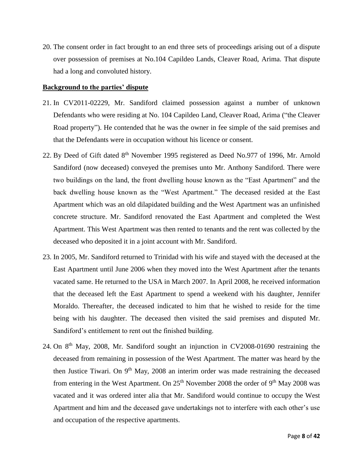20. The consent order in fact brought to an end three sets of proceedings arising out of a dispute over possession of premises at No.104 Capildeo Lands, Cleaver Road, Arima. That dispute had a long and convoluted history.

## **Background to the parties' dispute**

- 21. In CV2011-02229, Mr. Sandiford claimed possession against a number of unknown Defendants who were residing at No. 104 Capildeo Land, Cleaver Road, Arima ("the Cleaver Road property"). He contended that he was the owner in fee simple of the said premises and that the Defendants were in occupation without his licence or consent.
- 22. By Deed of Gift dated 8<sup>th</sup> November 1995 registered as Deed No.977 of 1996, Mr. Arnold Sandiford (now deceased) conveyed the premises unto Mr. Anthony Sandiford. There were two buildings on the land, the front dwelling house known as the "East Apartment" and the back dwelling house known as the "West Apartment." The deceased resided at the East Apartment which was an old dilapidated building and the West Apartment was an unfinished concrete structure. Mr. Sandiford renovated the East Apartment and completed the West Apartment. This West Apartment was then rented to tenants and the rent was collected by the deceased who deposited it in a joint account with Mr. Sandiford.
- 23. In 2005, Mr. Sandiford returned to Trinidad with his wife and stayed with the deceased at the East Apartment until June 2006 when they moved into the West Apartment after the tenants vacated same. He returned to the USA in March 2007. In April 2008, he received information that the deceased left the East Apartment to spend a weekend with his daughter, Jennifer Moraldo. Thereafter, the deceased indicated to him that he wished to reside for the time being with his daughter. The deceased then visited the said premises and disputed Mr. Sandiford's entitlement to rent out the finished building.
- 24. On 8<sup>th</sup> May, 2008, Mr. Sandiford sought an injunction in CV2008-01690 restraining the deceased from remaining in possession of the West Apartment. The matter was heard by the then Justice Tiwari. On  $9<sup>th</sup>$  May, 2008 an interim order was made restraining the deceased from entering in the West Apartment. On  $25<sup>th</sup>$  November 2008 the order of 9<sup>th</sup> May 2008 was vacated and it was ordered inter alia that Mr. Sandiford would continue to occupy the West Apartment and him and the deceased gave undertakings not to interfere with each other's use and occupation of the respective apartments.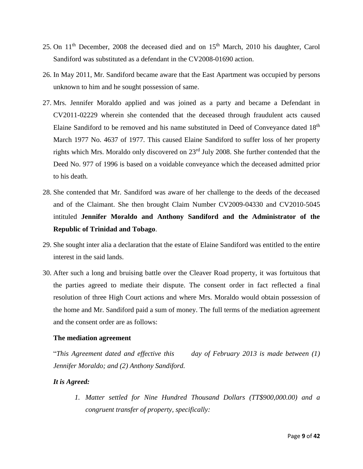- 25. On 11<sup>th</sup> December, 2008 the deceased died and on 15<sup>th</sup> March, 2010 his daughter, Carol Sandiford was substituted as a defendant in the CV2008-01690 action.
- 26. In May 2011, Mr. Sandiford became aware that the East Apartment was occupied by persons unknown to him and he sought possession of same.
- 27. Mrs. Jennifer Moraldo applied and was joined as a party and became a Defendant in CV2011-02229 wherein she contended that the deceased through fraudulent acts caused Elaine Sandiford to be removed and his name substituted in Deed of Conveyance dated 18th March 1977 No. 4637 of 1977. This caused Elaine Sandiford to suffer loss of her property rights which Mrs. Moraldo only discovered on 23rd July 2008. She further contended that the Deed No. 977 of 1996 is based on a voidable conveyance which the deceased admitted prior to his death.
- 28. She contended that Mr. Sandiford was aware of her challenge to the deeds of the deceased and of the Claimant. She then brought Claim Number CV2009-04330 and CV2010-5045 intituled **Jennifer Moraldo and Anthony Sandiford and the Administrator of the Republic of Trinidad and Tobago**.
- 29. She sought inter alia a declaration that the estate of Elaine Sandiford was entitled to the entire interest in the said lands.
- 30. After such a long and bruising battle over the Cleaver Road property, it was fortuitous that the parties agreed to mediate their dispute. The consent order in fact reflected a final resolution of three High Court actions and where Mrs. Moraldo would obtain possession of the home and Mr. Sandiford paid a sum of money. The full terms of the mediation agreement and the consent order are as follows:

## **The mediation agreement**

"*This Agreement dated and effective this day of February 2013 is made between (1) Jennifer Moraldo; and (2) Anthony Sandiford.*

## *It is Agreed:*

*1. Matter settled for Nine Hundred Thousand Dollars (TT\$900,000.00) and a congruent transfer of property, specifically:*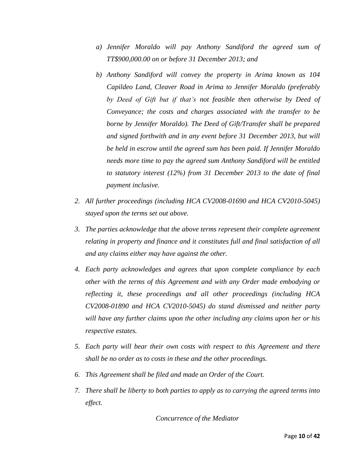- *a) Jennifer Moraldo will pay Anthony Sandiford the agreed sum of TT\$900,000.00 on or before 31 December 2013; and*
- *b) Anthony Sandiford will convey the property in Arima known as 104 Capildeo Land, Cleaver Road in Arima to Jennifer Moraldo (preferably by Deed of Gift but if that's not feasible then otherwise by Deed of Conveyance; the costs and charges associated with the transfer to be borne by Jennifer Moraldo). The Deed of Gift/Transfer shall be prepared and signed forthwith and in any event before 31 December 2013, but will be held in escrow until the agreed sum has been paid. If Jennifer Moraldo needs more time to pay the agreed sum Anthony Sandiford will be entitled to statutory interest (12%) from 31 December 2013 to the date of final payment inclusive.*
- *2. All further proceedings (including HCA CV2008-01690 and HCA CV2010-5045) stayed upon the terms set out above.*
- *3. The parties acknowledge that the above terms represent their complete agreement relating in property and finance and it constitutes full and final satisfaction of all and any claims either may have against the other.*
- *4. Each party acknowledges and agrees that upon complete compliance by each other with the terms of this Agreement and with any Order made embodying or reflecting it, these proceedings and all other proceedings (including HCA CV2008-01890 and HCA CV2010-5045) do stand dismissed and neither party will have any further claims upon the other including any claims upon her or his respective estates.*
- *5. Each party will bear their own costs with respect to this Agreement and there shall be no order as to costs in these and the other proceedings.*
- *6. This Agreement shall be filed and made an Order of the Court.*
- *7. There shall be liberty to both parties to apply as to carrying the agreed terms into effect.*

*Concurrence of the Mediator*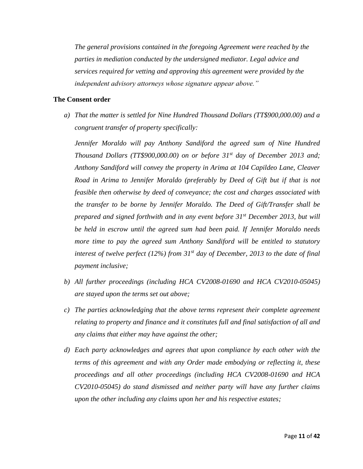*The general provisions contained in the foregoing Agreement were reached by the parties in mediation conducted by the undersigned mediator. Legal advice and services required for vetting and approving this agreement were provided by the independent advisory attorneys whose signature appear above."*

## **The Consent order**

*a) That the matter is settled for Nine Hundred Thousand Dollars (TT\$900,000.00) and a congruent transfer of property specifically:*

*Jennifer Moraldo will pay Anthony Sandiford the agreed sum of Nine Hundred Thousand Dollars (TT\$900,000.00) on or before 31st day of December 2013 and; Anthony Sandiford will convey the property in Arima at 104 Capildeo Lane, Cleaver Road in Arima to Jennifer Moraldo (preferably by Deed of Gift but if that is not feasible then otherwise by deed of conveyance; the cost and charges associated with the transfer to be borne by Jennifer Moraldo. The Deed of Gift/Transfer shall be prepared and signed forthwith and in any event before 31st December 2013, but will be held in escrow until the agreed sum had been paid. If Jennifer Moraldo needs more time to pay the agreed sum Anthony Sandiford will be entitled to statutory interest of twelve perfect (12%) from 31st day of December, 2013 to the date of final payment inclusive;*

- *b) All further proceedings (including HCA CV2008-01690 and HCA CV2010-05045) are stayed upon the terms set out above;*
- *c) The parties acknowledging that the above terms represent their complete agreement relating to property and finance and it constitutes full and final satisfaction of all and any claims that either may have against the other;*
- *d) Each party acknowledges and agrees that upon compliance by each other with the terms of this agreement and with any Order made embodying or reflecting it, these proceedings and all other proceedings (including HCA CV2008-01690 and HCA CV2010-05045) do stand dismissed and neither party will have any further claims upon the other including any claims upon her and his respective estates;*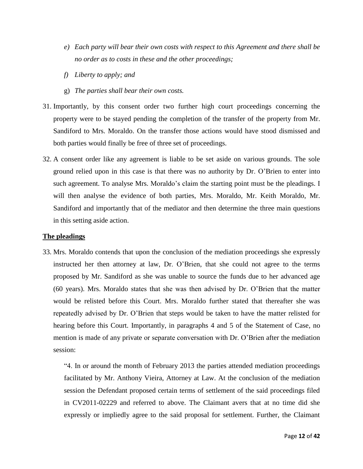- *e) Each party will bear their own costs with respect to this Agreement and there shall be no order as to costs in these and the other proceedings;*
- *f) Liberty to apply; and*
- g) *The parties shall bear their own costs.*
- 31. Importantly, by this consent order two further high court proceedings concerning the property were to be stayed pending the completion of the transfer of the property from Mr. Sandiford to Mrs. Moraldo. On the transfer those actions would have stood dismissed and both parties would finally be free of three set of proceedings.
- 32. A consent order like any agreement is liable to be set aside on various grounds. The sole ground relied upon in this case is that there was no authority by Dr. O'Brien to enter into such agreement. To analyse Mrs. Moraldo's claim the starting point must be the pleadings. I will then analyse the evidence of both parties, Mrs. Moraldo, Mr. Keith Moraldo, Mr. Sandiford and importantly that of the mediator and then determine the three main questions in this setting aside action.

## **The pleadings**

33. Mrs. Moraldo contends that upon the conclusion of the mediation proceedings she expressly instructed her then attorney at law, Dr. O'Brien, that she could not agree to the terms proposed by Mr. Sandiford as she was unable to source the funds due to her advanced age (60 years). Mrs. Moraldo states that she was then advised by Dr. O'Brien that the matter would be relisted before this Court. Mrs. Moraldo further stated that thereafter she was repeatedly advised by Dr. O'Brien that steps would be taken to have the matter relisted for hearing before this Court. Importantly, in paragraphs 4 and 5 of the Statement of Case, no mention is made of any private or separate conversation with Dr. O'Brien after the mediation session:

"4. In or around the month of February 2013 the parties attended mediation proceedings facilitated by Mr. Anthony Vieira, Attorney at Law. At the conclusion of the mediation session the Defendant proposed certain terms of settlement of the said proceedings filed in CV2011-02229 and referred to above. The Claimant avers that at no time did she expressly or impliedly agree to the said proposal for settlement. Further, the Claimant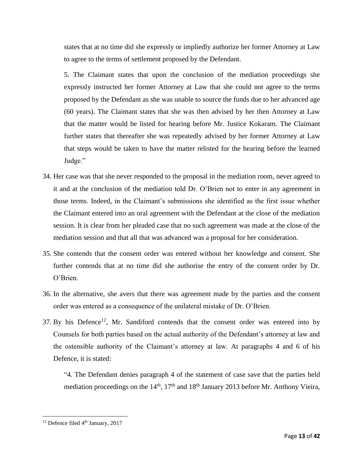states that at no time did she expressly or impliedly authorize her former Attorney at Law to agree to the terms of settlement proposed by the Defendant.

5. The Claimant states that upon the conclusion of the mediation proceedings she expressly instructed her former Attorney at Law that she could not agree to the terms proposed by the Defendant as she was unable to source the funds due to her advanced age (60 years). The Claimant states that she was then advised by her then Attorney at Law that the matter would be listed for hearing before Mr. Justice Kokaram. The Claimant further states that thereafter she was repeatedly advised by her former Attorney at Law that steps would be taken to have the matter relisted for the hearing before the learned Judge."

- 34. Her case was that she never responded to the proposal in the mediation room, never agreed to it and at the conclusion of the mediation told Dr. O'Brien not to enter in any agreement in those terms. Indeed, in the Claimant's submissions she identified as the first issue whether the Claimant entered into an oral agreement with the Defendant at the close of the mediation session. It is clear from her pleaded case that no such agreement was made at the close of the mediation session and that all that was advanced was a proposal for her consideration.
- 35. She contends that the consent order was entered without her knowledge and consent. She further contends that at no time did she authorise the entry of the consent order by Dr. O'Brien.
- 36. In the alternative, she avers that there was agreement made by the parties and the consent order was entered as a consequence of the unilateral mistake of Dr. O'Brien.
- 37. By his Defence<sup>12</sup>, Mr. Sandiford contends that the consent order was entered into by Counsels for both parties based on the actual authority of the Defendant's attorney at law and the ostensible authority of the Claimant's attorney at law. At paragraphs 4 and 6 of his Defence, it is stated:

"4. The Defendant denies paragraph 4 of the statement of case save that the parties held mediation proceedings on the  $14<sup>th</sup>$ ,  $17<sup>th</sup>$  and  $18<sup>th</sup>$  January 2013 before Mr. Anthony Vieira,

 $\overline{\phantom{a}}$ 

<sup>&</sup>lt;sup>12</sup> Defence filed 4<sup>th</sup> January, 2017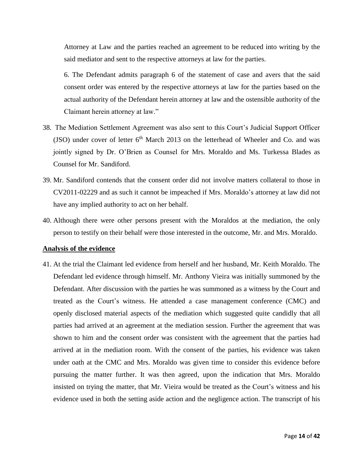Attorney at Law and the parties reached an agreement to be reduced into writing by the said mediator and sent to the respective attorneys at law for the parties.

6. The Defendant admits paragraph 6 of the statement of case and avers that the said consent order was entered by the respective attorneys at law for the parties based on the actual authority of the Defendant herein attorney at law and the ostensible authority of the Claimant herein attorney at law."

- 38. The Mediation Settlement Agreement was also sent to this Court's Judicial Support Officer (JSO) under cover of letter  $6<sup>th</sup>$  March 2013 on the letterhead of Wheeler and Co. and was jointly signed by Dr. O'Brien as Counsel for Mrs. Moraldo and Ms. Turkessa Blades as Counsel for Mr. Sandiford.
- 39. Mr. Sandiford contends that the consent order did not involve matters collateral to those in CV2011-02229 and as such it cannot be impeached if Mrs. Moraldo's attorney at law did not have any implied authority to act on her behalf.
- 40. Although there were other persons present with the Moraldos at the mediation, the only person to testify on their behalf were those interested in the outcome, Mr. and Mrs. Moraldo.

## **Analysis of the evidence**

41. At the trial the Claimant led evidence from herself and her husband, Mr. Keith Moraldo. The Defendant led evidence through himself. Mr. Anthony Vieira was initially summoned by the Defendant. After discussion with the parties he was summoned as a witness by the Court and treated as the Court's witness. He attended a case management conference (CMC) and openly disclosed material aspects of the mediation which suggested quite candidly that all parties had arrived at an agreement at the mediation session. Further the agreement that was shown to him and the consent order was consistent with the agreement that the parties had arrived at in the mediation room. With the consent of the parties, his evidence was taken under oath at the CMC and Mrs. Moraldo was given time to consider this evidence before pursuing the matter further. It was then agreed, upon the indication that Mrs. Moraldo insisted on trying the matter, that Mr. Vieira would be treated as the Court's witness and his evidence used in both the setting aside action and the negligence action. The transcript of his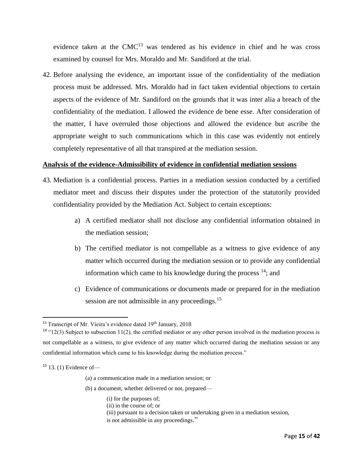evidence taken at the  $CMC<sup>13</sup>$  was tendered as his evidence in chief and he was cross examined by counsel for Mrs. Moraldo and Mr. Sandiford at the trial.

42. Before analysing the evidence, an important issue of the confidentiality of the mediation process must be addressed. Mrs. Moraldo had in fact taken evidential objections to certain aspects of the evidence of Mr. Sandiford on the grounds that it was inter alia a breach of the confidentiality of the mediation. I allowed the evidence de bene esse. After consideration of the matter, I have overruled those objections and allowed the evidence but ascribe the appropriate weight to such communications which in this case was evidently not entirely completely representative of all that transpired at the mediation session.

## **Analysis of the evidence-Admissibility of evidence in confidential mediation sessions**

- 43. Mediation is a confidential process. Parties in a mediation session conducted by a certified mediator meet and discuss their disputes under the protection of the statutorily provided confidentiality provided by the Mediation Act. Subject to certain exceptions:
	- a) A certified mediator shall not disclose any confidential information obtained in the mediation session;
	- b) The certified mediator is not compellable as a witness to give evidence of any matter which occurred during the mediation session or to provide any confidential information which came to his knowledge during the process  $14$ ; and
	- c) Evidence of communications or documents made or prepared for in the mediation session are not admissible in any proceedings.<sup>15</sup>

 $\overline{a}$ 

- (b) a document, whether delivered or not, prepared—
	- (i) for the purposes of;
	- (ii) in the course of; or
	- (iii) pursuant to a decision taken or undertaking given in a mediation session,
	- is not admissible in any proceedings."

<sup>&</sup>lt;sup>13</sup> Transcript of Mr. Vieira's evidence dated 19<sup>th</sup> January, 2018

 $14$  "12(3) Subject to subsection 11(2), the certified mediator or any other person involved in the mediation process is not compellable as a witness, to give evidence of any matter which occurred during the mediation session or any confidential information which came to his knowledge during the mediation process."

 $15$  13. (1) Evidence of —

<sup>(</sup>a) a communication made in a mediation session; or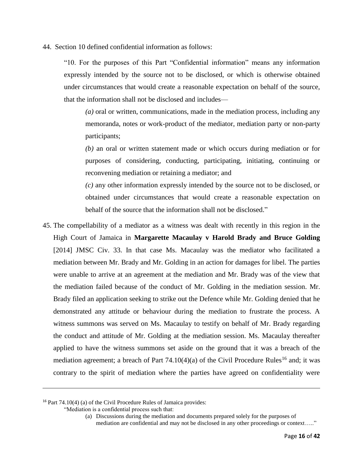44. Section 10 defined confidential information as follows:

"10. For the purposes of this Part "Confidential information" means any information expressly intended by the source not to be disclosed, or which is otherwise obtained under circumstances that would create a reasonable expectation on behalf of the source, that the information shall not be disclosed and includes—

*(a)* oral or written, communications, made in the mediation process, including any memoranda, notes or work-product of the mediator, mediation party or non-party participants;

*(b)* an oral or written statement made or which occurs during mediation or for purposes of considering, conducting, participating, initiating, continuing or reconvening mediation or retaining a mediator; and

*(c)* any other information expressly intended by the source not to be disclosed, or obtained under circumstances that would create a reasonable expectation on behalf of the source that the information shall not be disclosed."

45. The compellability of a mediator as a witness was dealt with recently in this region in the High Court of Jamaica in **Margarette Macaulay v Harold Brady and Bruce Golding**  [2014] JMSC Civ. 33. In that case Ms. Macaulay was the mediator who facilitated a mediation between Mr. Brady and Mr. Golding in an action for damages for libel. The parties were unable to arrive at an agreement at the mediation and Mr. Brady was of the view that the mediation failed because of the conduct of Mr. Golding in the mediation session. Mr. Brady filed an application seeking to strike out the Defence while Mr. Golding denied that he demonstrated any attitude or behaviour during the mediation to frustrate the process. A witness summons was served on Ms. Macaulay to testify on behalf of Mr. Brady regarding the conduct and attitude of Mr. Golding at the mediation session. Ms. Macaulay thereafter applied to have the witness summons set aside on the ground that it was a breach of the mediation agreement; a breach of Part  $74.10(4)(a)$  of the Civil Procedure Rules<sup>16</sup> and; it was contrary to the spirit of mediation where the parties have agreed on confidentiality were

"Mediation is a confidential process such that:

 $\overline{a}$ 

<sup>16</sup> Part 74.10(4) (a) of the Civil Procedure Rules of Jamaica provides:

<sup>(</sup>a) Discussions during the mediation and documents prepared solely for the purposes of mediation are confidential and may not be disclosed in any other proceedings or context….."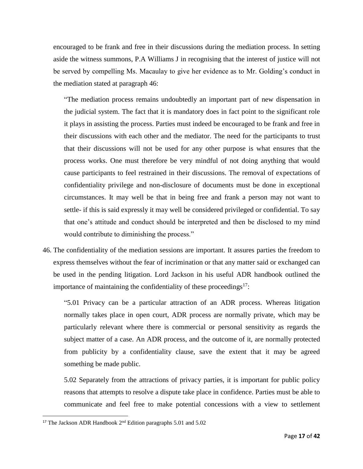encouraged to be frank and free in their discussions during the mediation process. In setting aside the witness summons, P.A Williams J in recognising that the interest of justice will not be served by compelling Ms. Macaulay to give her evidence as to Mr. Golding's conduct in the mediation stated at paragraph 46:

"The mediation process remains undoubtedly an important part of new dispensation in the judicial system. The fact that it is mandatory does in fact point to the significant role it plays in assisting the process. Parties must indeed be encouraged to be frank and free in their discussions with each other and the mediator. The need for the participants to trust that their discussions will not be used for any other purpose is what ensures that the process works. One must therefore be very mindful of not doing anything that would cause participants to feel restrained in their discussions. The removal of expectations of confidentiality privilege and non-disclosure of documents must be done in exceptional circumstances. It may well be that in being free and frank a person may not want to settle- if this is said expressly it may well be considered privileged or confidential. To say that one's attitude and conduct should be interpreted and then be disclosed to my mind would contribute to diminishing the process."

46. The confidentiality of the mediation sessions are important. It assures parties the freedom to express themselves without the fear of incrimination or that any matter said or exchanged can be used in the pending litigation. Lord Jackson in his useful ADR handbook outlined the importance of maintaining the confidentiality of these proceedings $17$ :

"5.01 Privacy can be a particular attraction of an ADR process. Whereas litigation normally takes place in open court, ADR process are normally private, which may be particularly relevant where there is commercial or personal sensitivity as regards the subject matter of a case. An ADR process, and the outcome of it, are normally protected from publicity by a confidentiality clause, save the extent that it may be agreed something be made public.

5.02 Separately from the attractions of privacy parties, it is important for public policy reasons that attempts to resolve a dispute take place in confidence. Parties must be able to communicate and feel free to make potential concessions with a view to settlement

 $\overline{\phantom{a}}$ 

<sup>&</sup>lt;sup>17</sup> The Jackson ADR Handbook  $2<sup>nd</sup>$  Edition paragraphs 5.01 and 5.02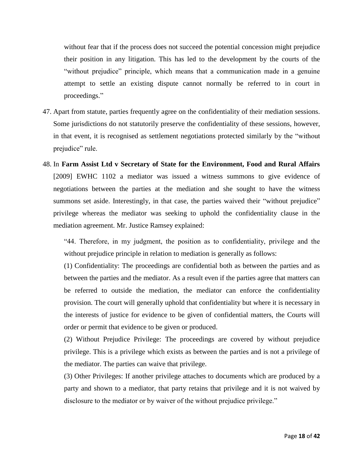without fear that if the process does not succeed the potential concession might prejudice their position in any litigation. This has led to the development by the courts of the "without prejudice" principle, which means that a communication made in a genuine attempt to settle an existing dispute cannot normally be referred to in court in proceedings."

- 47. Apart from statute, parties frequently agree on the confidentiality of their mediation sessions. Some jurisdictions do not statutorily preserve the confidentiality of these sessions, however, in that event, it is recognised as settlement negotiations protected similarly by the "without prejudice" rule.
- 48. In **Farm Assist Ltd v Secretary of State for the Environment, Food and Rural Affairs**  [2009] EWHC 1102 a mediator was issued a witness summons to give evidence of negotiations between the parties at the mediation and she sought to have the witness summons set aside. Interestingly, in that case, the parties waived their "without prejudice" privilege whereas the mediator was seeking to uphold the confidentiality clause in the mediation agreement. Mr. Justice Ramsey explained:

"44. Therefore, in my judgment, the position as to confidentiality, privilege and the without prejudice principle in relation to mediation is generally as follows:

(1) Confidentiality: The proceedings are confidential both as between the parties and as between the parties and the mediator. As a result even if the parties agree that matters can be referred to outside the mediation, the mediator can enforce the confidentiality provision. The court will generally uphold that confidentiality but where it is necessary in the interests of justice for evidence to be given of confidential matters, the Courts will order or permit that evidence to be given or produced.

(2) Without Prejudice Privilege: The proceedings are covered by without prejudice privilege. This is a privilege which exists as between the parties and is not a privilege of the mediator. The parties can waive that privilege.

(3) Other Privileges: If another privilege attaches to documents which are produced by a party and shown to a mediator, that party retains that privilege and it is not waived by disclosure to the mediator or by waiver of the without prejudice privilege."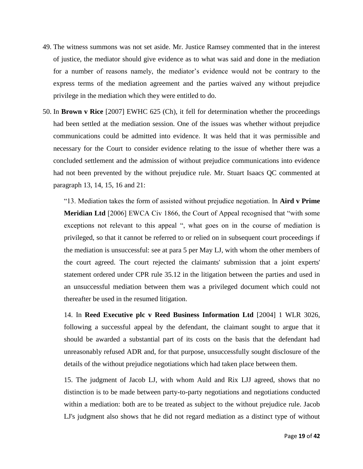- 49. The witness summons was not set aside. Mr. Justice Ramsey commented that in the interest of justice, the mediator should give evidence as to what was said and done in the mediation for a number of reasons namely, the mediator's evidence would not be contrary to the express terms of the mediation agreement and the parties waived any without prejudice privilege in the mediation which they were entitled to do.
- 50. In **Brown v Rice** [2007] EWHC 625 (Ch), it fell for determination whether the proceedings had been settled at the mediation session. One of the issues was whether without prejudice communications could be admitted into evidence. It was held that it was permissible and necessary for the Court to consider evidence relating to the issue of whether there was a concluded settlement and the admission of without prejudice communications into evidence had not been prevented by the without prejudice rule. Mr. Stuart Isaacs QC commented at paragraph 13, 14, 15, 16 and 21:

"13. Mediation takes the form of assisted without prejudice negotiation. In **Aird v Prime Meridian Ltd** [2006] EWCA Civ 1866, the Court of Appeal recognised that "with some exceptions not relevant to this appeal ", what goes on in the course of mediation is privileged, so that it cannot be referred to or relied on in subsequent court proceedings if the mediation is unsuccessful: see at para 5 per May LJ, with whom the other members of the court agreed. The court rejected the claimants' submission that a joint experts' statement ordered under CPR rule 35.12 in the litigation between the parties and used in an unsuccessful mediation between them was a privileged document which could not thereafter be used in the resumed litigation.

14. In **Reed Executive plc v Reed Business Information Ltd** [2004] 1 WLR 3026, following a successful appeal by the defendant, the claimant sought to argue that it should be awarded a substantial part of its costs on the basis that the defendant had unreasonably refused ADR and, for that purpose, unsuccessfully sought disclosure of the details of the without prejudice negotiations which had taken place between them.

15. The judgment of Jacob LJ, with whom Auld and Rix LJJ agreed, shows that no distinction is to be made between party-to-party negotiations and negotiations conducted within a mediation: both are to be treated as subject to the without prejudice rule. Jacob LJ's judgment also shows that he did not regard mediation as a distinct type of without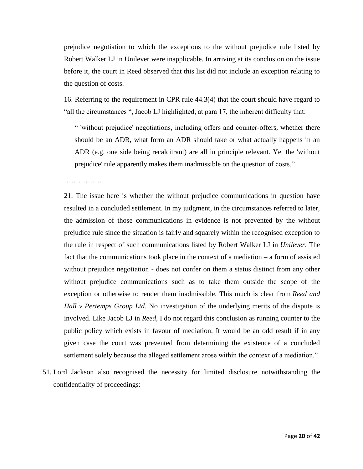prejudice negotiation to which the exceptions to the without prejudice rule listed by Robert Walker LJ in Unilever were inapplicable. In arriving at its conclusion on the issue before it, the court in Reed observed that this list did not include an exception relating to the question of costs.

16. Referring to the requirement in CPR rule 44.3(4) that the court should have regard to "all the circumstances ", Jacob LJ highlighted, at para 17, the inherent difficulty that:

" 'without prejudice' negotiations, including offers and counter-offers, whether there should be an ADR, what form an ADR should take or what actually happens in an ADR (e.g. one side being recalcitrant) are all in principle relevant. Yet the 'without prejudice' rule apparently makes them inadmissible on the question of costs."

21. The issue here is whether the without prejudice communications in question have resulted in a concluded settlement. In my judgment, in the circumstances referred to later, the admission of those communications in evidence is not prevented by the without prejudice rule since the situation is fairly and squarely within the recognised exception to the rule in respect of such communications listed by Robert Walker LJ in *Unilever*. The fact that the communications took place in the context of a mediation – a form of assisted without prejudice negotiation - does not confer on them a status distinct from any other without prejudice communications such as to take them outside the scope of the exception or otherwise to render them inadmissible. This much is clear from *Reed and Hall v Pertemps Group Ltd*. No investigation of the underlying merits of the dispute is involved. Like Jacob LJ in *Reed*, I do not regard this conclusion as running counter to the public policy which exists in favour of mediation. It would be an odd result if in any given case the court was prevented from determining the existence of a concluded settlement solely because the alleged settlement arose within the context of a mediation."

51. Lord Jackson also recognised the necessity for limited disclosure notwithstanding the confidentiality of proceedings: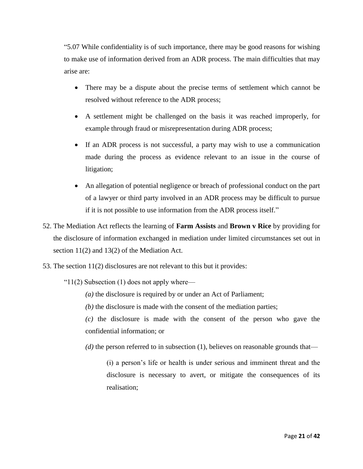"5.07 While confidentiality is of such importance, there may be good reasons for wishing to make use of information derived from an ADR process. The main difficulties that may arise are:

- There may be a dispute about the precise terms of settlement which cannot be resolved without reference to the ADR process;
- A settlement might be challenged on the basis it was reached improperly, for example through fraud or misrepresentation during ADR process;
- If an ADR process is not successful, a party may wish to use a communication made during the process as evidence relevant to an issue in the course of litigation;
- An allegation of potential negligence or breach of professional conduct on the part of a lawyer or third party involved in an ADR process may be difficult to pursue if it is not possible to use information from the ADR process itself."
- 52. The Mediation Act reflects the learning of **Farm Assists** and **Brown v Rice** by providing for the disclosure of information exchanged in mediation under limited circumstances set out in section 11(2) and 13(2) of the Mediation Act.
- 53. The section 11(2) disclosures are not relevant to this but it provides:
	- " $11(2)$  Subsection (1) does not apply where—
		- *(a)* the disclosure is required by or under an Act of Parliament;
		- *(b)* the disclosure is made with the consent of the mediation parties;

*(c)* the disclosure is made with the consent of the person who gave the confidential information; or

*(d)* the person referred to in subsection (1), believes on reasonable grounds that—

(i) a person's life or health is under serious and imminent threat and the disclosure is necessary to avert, or mitigate the consequences of its realisation;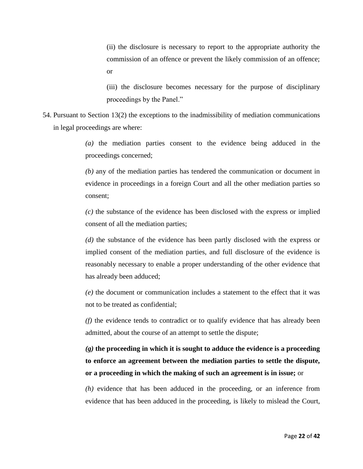(ii) the disclosure is necessary to report to the appropriate authority the commission of an offence or prevent the likely commission of an offence; or

(iii) the disclosure becomes necessary for the purpose of disciplinary proceedings by the Panel."

54. Pursuant to Section 13(2) the exceptions to the inadmissibility of mediation communications in legal proceedings are where:

> *(a)* the mediation parties consent to the evidence being adduced in the proceedings concerned;

> *(b)* any of the mediation parties has tendered the communication or document in evidence in proceedings in a foreign Court and all the other mediation parties so consent;

> *(c)* the substance of the evidence has been disclosed with the express or implied consent of all the mediation parties;

> *(d)* the substance of the evidence has been partly disclosed with the express or implied consent of the mediation parties, and full disclosure of the evidence is reasonably necessary to enable a proper understanding of the other evidence that has already been adduced;

> *(e)* the document or communication includes a statement to the effect that it was not to be treated as confidential;

> *(f)* the evidence tends to contradict or to qualify evidence that has already been admitted, about the course of an attempt to settle the dispute;

> *(g)* **the proceeding in which it is sought to adduce the evidence is a proceeding to enforce an agreement between the mediation parties to settle the dispute, or a proceeding in which the making of such an agreement is in issue;** or

> *(h)* evidence that has been adduced in the proceeding, or an inference from evidence that has been adduced in the proceeding, is likely to mislead the Court,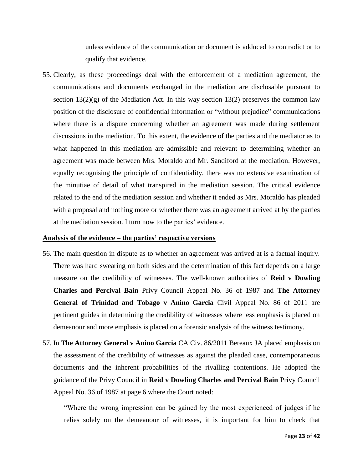unless evidence of the communication or document is adduced to contradict or to qualify that evidence.

55. Clearly, as these proceedings deal with the enforcement of a mediation agreement, the communications and documents exchanged in the mediation are disclosable pursuant to section  $13(2)(g)$  of the Mediation Act. In this way section  $13(2)$  preserves the common law position of the disclosure of confidential information or "without prejudice" communications where there is a dispute concerning whether an agreement was made during settlement discussions in the mediation. To this extent, the evidence of the parties and the mediator as to what happened in this mediation are admissible and relevant to determining whether an agreement was made between Mrs. Moraldo and Mr. Sandiford at the mediation. However, equally recognising the principle of confidentiality, there was no extensive examination of the minutiae of detail of what transpired in the mediation session. The critical evidence related to the end of the mediation session and whether it ended as Mrs. Moraldo has pleaded with a proposal and nothing more or whether there was an agreement arrived at by the parties at the mediation session. I turn now to the parties' evidence.

#### **Analysis of the evidence – the parties' respective versions**

- 56. The main question in dispute as to whether an agreement was arrived at is a factual inquiry. There was hard swearing on both sides and the determination of this fact depends on a large measure on the credibility of witnesses. The well-known authorities of **Reid v Dowling Charles and Percival Bain** Privy Council Appeal No. 36 of 1987 and **The Attorney General of Trinidad and Tobago v Anino Garcia** Civil Appeal No. 86 of 2011 are pertinent guides in determining the credibility of witnesses where less emphasis is placed on demeanour and more emphasis is placed on a forensic analysis of the witness testimony.
- 57. In **The Attorney General v Anino Garcia** CA Civ. 86/2011 Bereaux JA placed emphasis on the assessment of the credibility of witnesses as against the pleaded case, contemporaneous documents and the inherent probabilities of the rivalling contentions. He adopted the guidance of the Privy Council in **Reid v Dowling Charles and Percival Bain** Privy Council Appeal No. 36 of 1987 at page 6 where the Court noted:

"Where the wrong impression can be gained by the most experienced of judges if he relies solely on the demeanour of witnesses, it is important for him to check that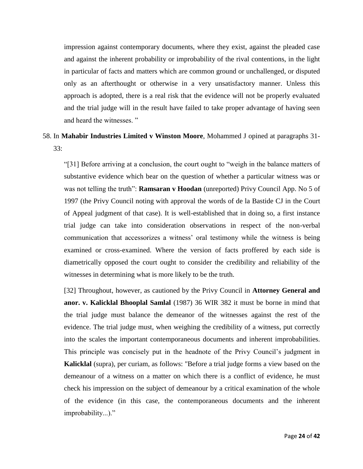impression against contemporary documents, where they exist, against the pleaded case and against the inherent probability or improbability of the rival contentions, in the light in particular of facts and matters which are common ground or unchallenged, or disputed only as an afterthought or otherwise in a very unsatisfactory manner. Unless this approach is adopted, there is a real risk that the evidence will not be properly evaluated and the trial judge will in the result have failed to take proper advantage of having seen and heard the witnesses. "

# 58. In **Mahabir Industries Limited v Winston Moore**, Mohammed J opined at paragraphs 31-  $33:$

"[31] Before arriving at a conclusion, the court ought to "weigh in the balance matters of substantive evidence which bear on the question of whether a particular witness was or was not telling the truth": **Ramsaran v Hoodan** (unreported) Privy Council App. No 5 of 1997 (the Privy Council noting with approval the words of de la Bastide CJ in the Court of Appeal judgment of that case). It is well-established that in doing so, a first instance trial judge can take into consideration observations in respect of the non-verbal communication that accessorizes a witness' oral testimony while the witness is being examined or cross-examined. Where the version of facts proffered by each side is diametrically opposed the court ought to consider the credibility and reliability of the witnesses in determining what is more likely to be the truth.

[32] Throughout, however, as cautioned by the Privy Council in **Attorney General and anor. v. Kalicklal Bhooplal Samlal** (1987) 36 WIR 382 it must be borne in mind that the trial judge must balance the demeanor of the witnesses against the rest of the evidence. The trial judge must, when weighing the credibility of a witness, put correctly into the scales the important contemporaneous documents and inherent improbabilities. This principle was concisely put in the headnote of the Privy Council's judgment in **Kalicklal** (supra), per curiam, as follows: "Before a trial judge forms a view based on the demeanour of a witness on a matter on which there is a conflict of evidence, he must check his impression on the subject of demeanour by a critical examination of the whole of the evidence (in this case, the contemporaneous documents and the inherent improbability...)."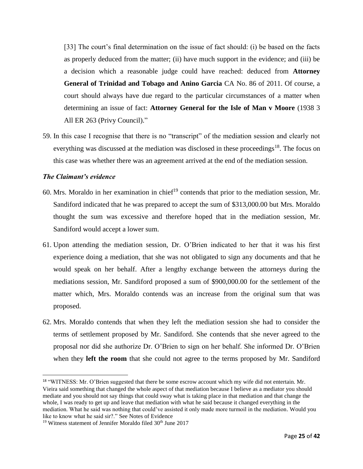[33] The court's final determination on the issue of fact should: (i) be based on the facts as properly deduced from the matter; (ii) have much support in the evidence; and (iii) be a decision which a reasonable judge could have reached: deduced from **Attorney General of Trinidad and Tobago and Anino Garcia** CA No. 86 of 2011. Of course, a court should always have due regard to the particular circumstances of a matter when determining an issue of fact: **Attorney General for the Isle of Man v Moore** (1938 3 All ER 263 (Privy Council)."

59. In this case I recognise that there is no "transcript" of the mediation session and clearly not everything was discussed at the mediation was disclosed in these proceedings<sup>18</sup>. The focus on this case was whether there was an agreement arrived at the end of the mediation session.

## *The Claimant's evidence*

 $\overline{\phantom{a}}$ 

- 60. Mrs. Moraldo in her examination in chief<sup>19</sup> contends that prior to the mediation session, Mr. Sandiford indicated that he was prepared to accept the sum of \$313,000.00 but Mrs. Moraldo thought the sum was excessive and therefore hoped that in the mediation session, Mr. Sandiford would accept a lower sum.
- 61. Upon attending the mediation session, Dr. O'Brien indicated to her that it was his first experience doing a mediation, that she was not obligated to sign any documents and that he would speak on her behalf. After a lengthy exchange between the attorneys during the mediations session, Mr. Sandiford proposed a sum of \$900,000.00 for the settlement of the matter which, Mrs. Moraldo contends was an increase from the original sum that was proposed.
- 62. Mrs. Moraldo contends that when they left the mediation session she had to consider the terms of settlement proposed by Mr. Sandiford. She contends that she never agreed to the proposal nor did she authorize Dr. O'Brien to sign on her behalf. She informed Dr. O'Brien when they **left the room** that she could not agree to the terms proposed by Mr. Sandiford

<sup>&</sup>lt;sup>18</sup> "WITNESS: Mr. O'Brien suggested that there be some escrow account which my wife did not entertain. Mr. Vieira said something that changed the whole aspect of that mediation because I believe as a mediator you should mediate and you should not say things that could sway what is taking place in that mediation and that change the whole, I was ready to get up and leave that mediation with what he said because it changed everything in the mediation. What he said was nothing that could've assisted it only made more turmoil in the mediation. Would you like to know what he said sir?." See Notes of Evidence

 $19$  Witness statement of Jennifer Moraldo filed  $30<sup>th</sup>$  June 2017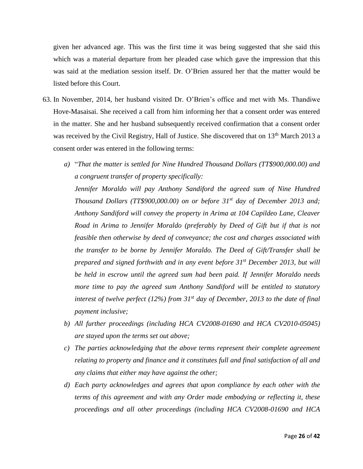given her advanced age. This was the first time it was being suggested that she said this which was a material departure from her pleaded case which gave the impression that this was said at the mediation session itself. Dr. O'Brien assured her that the matter would be listed before this Court.

- 63. In November, 2014, her husband visited Dr. O'Brien's office and met with Ms. Thandiwe Hove-Masaisai. She received a call from him informing her that a consent order was entered in the matter. She and her husband subsequently received confirmation that a consent order was received by the Civil Registry, Hall of Justice. She discovered that on 13<sup>th</sup> March 2013 a consent order was entered in the following terms:
	- *a)* "*That the matter is settled for Nine Hundred Thousand Dollars (TT\$900,000.00) and a congruent transfer of property specifically:*

*Jennifer Moraldo will pay Anthony Sandiford the agreed sum of Nine Hundred Thousand Dollars (TT\$900,000.00) on or before 31st day of December 2013 and; Anthony Sandiford will convey the property in Arima at 104 Capildeo Lane, Cleaver Road in Arima to Jennifer Moraldo (preferably by Deed of Gift but if that is not feasible then otherwise by deed of conveyance; the cost and charges associated with the transfer to be borne by Jennifer Moraldo. The Deed of Gift/Transfer shall be prepared and signed forthwith and in any event before 31st December 2013, but will be held in escrow until the agreed sum had been paid. If Jennifer Moraldo needs more time to pay the agreed sum Anthony Sandiford will be entitled to statutory interest of twelve perfect (12%) from 31st day of December, 2013 to the date of final payment inclusive;*

- *b) All further proceedings (including HCA CV2008-01690 and HCA CV2010-05045) are stayed upon the terms set out above;*
- *c) The parties acknowledging that the above terms represent their complete agreement relating to property and finance and it constitutes full and final satisfaction of all and any claims that either may have against the other;*
- *d) Each party acknowledges and agrees that upon compliance by each other with the terms of this agreement and with any Order made embodying or reflecting it, these proceedings and all other proceedings (including HCA CV2008-01690 and HCA*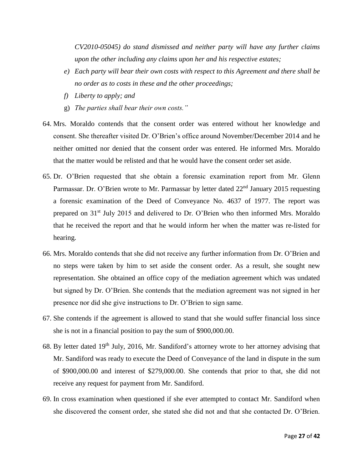*CV2010-05045) do stand dismissed and neither party will have any further claims upon the other including any claims upon her and his respective estates;*

- *e) Each party will bear their own costs with respect to this Agreement and there shall be no order as to costs in these and the other proceedings;*
- *f) Liberty to apply; and*
- g) *The parties shall bear their own costs."*
- 64. Mrs. Moraldo contends that the consent order was entered without her knowledge and consent. She thereafter visited Dr. O'Brien's office around November/December 2014 and he neither omitted nor denied that the consent order was entered. He informed Mrs. Moraldo that the matter would be relisted and that he would have the consent order set aside.
- 65. Dr. O'Brien requested that she obtain a forensic examination report from Mr. Glenn Parmassar. Dr. O'Brien wrote to Mr. Parmassar by letter dated 22<sup>nd</sup> January 2015 requesting a forensic examination of the Deed of Conveyance No. 4637 of 1977. The report was prepared on 31st July 2015 and delivered to Dr. O'Brien who then informed Mrs. Moraldo that he received the report and that he would inform her when the matter was re-listed for hearing.
- 66. Mrs. Moraldo contends that she did not receive any further information from Dr. O'Brien and no steps were taken by him to set aside the consent order. As a result, she sought new representation. She obtained an office copy of the mediation agreement which was undated but signed by Dr. O'Brien. She contends that the mediation agreement was not signed in her presence nor did she give instructions to Dr. O'Brien to sign same.
- 67. She contends if the agreement is allowed to stand that she would suffer financial loss since she is not in a financial position to pay the sum of \$900,000.00.
- 68. By letter dated 19th July, 2016, Mr. Sandiford's attorney wrote to her attorney advising that Mr. Sandiford was ready to execute the Deed of Conveyance of the land in dispute in the sum of \$900,000.00 and interest of \$279,000.00. She contends that prior to that, she did not receive any request for payment from Mr. Sandiford.
- 69. In cross examination when questioned if she ever attempted to contact Mr. Sandiford when she discovered the consent order, she stated she did not and that she contacted Dr. O'Brien.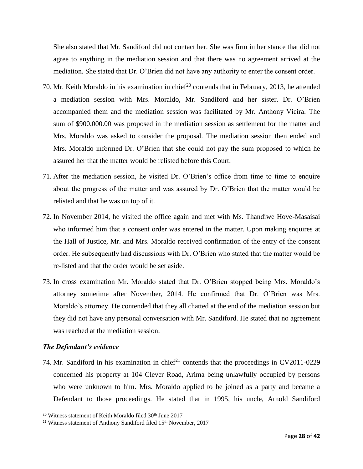She also stated that Mr. Sandiford did not contact her. She was firm in her stance that did not agree to anything in the mediation session and that there was no agreement arrived at the mediation. She stated that Dr. O'Brien did not have any authority to enter the consent order.

- 70. Mr. Keith Moraldo in his examination in chief<sup>20</sup> contends that in February, 2013, he attended a mediation session with Mrs. Moraldo, Mr. Sandiford and her sister. Dr. O'Brien accompanied them and the mediation session was facilitated by Mr. Anthony Vieira. The sum of \$900,000.00 was proposed in the mediation session as settlement for the matter and Mrs. Moraldo was asked to consider the proposal. The mediation session then ended and Mrs. Moraldo informed Dr. O'Brien that she could not pay the sum proposed to which he assured her that the matter would be relisted before this Court.
- 71. After the mediation session, he visited Dr. O'Brien's office from time to time to enquire about the progress of the matter and was assured by Dr. O'Brien that the matter would be relisted and that he was on top of it.
- 72. In November 2014, he visited the office again and met with Ms. Thandiwe Hove-Masaisai who informed him that a consent order was entered in the matter. Upon making enquires at the Hall of Justice, Mr. and Mrs. Moraldo received confirmation of the entry of the consent order. He subsequently had discussions with Dr. O'Brien who stated that the matter would be re-listed and that the order would be set aside.
- 73. In cross examination Mr. Moraldo stated that Dr. O'Brien stopped being Mrs. Moraldo's attorney sometime after November, 2014. He confirmed that Dr. O'Brien was Mrs. Moraldo's attorney. He contended that they all chatted at the end of the mediation session but they did not have any personal conversation with Mr. Sandiford. He stated that no agreement was reached at the mediation session.

### *The Defendant's evidence*

l

74. Mr. Sandiford in his examination in chief<sup>21</sup> contends that the proceedings in CV2011-0229 concerned his property at 104 Clever Road, Arima being unlawfully occupied by persons who were unknown to him. Mrs. Moraldo applied to be joined as a party and became a Defendant to those proceedings. He stated that in 1995, his uncle, Arnold Sandiford

<sup>&</sup>lt;sup>20</sup> Witness statement of Keith Moraldo filed 30<sup>th</sup> June 2017

<sup>&</sup>lt;sup>21</sup> Witness statement of Anthony Sandiford filed  $15<sup>th</sup>$  November, 2017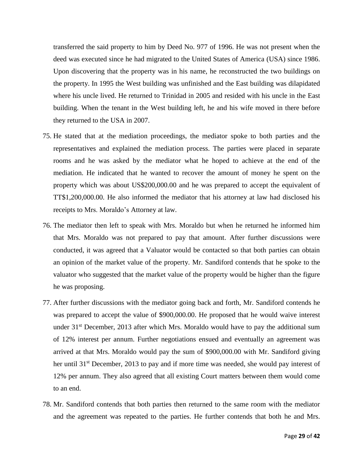transferred the said property to him by Deed No. 977 of 1996. He was not present when the deed was executed since he had migrated to the United States of America (USA) since 1986. Upon discovering that the property was in his name, he reconstructed the two buildings on the property. In 1995 the West building was unfinished and the East building was dilapidated where his uncle lived. He returned to Trinidad in 2005 and resided with his uncle in the East building. When the tenant in the West building left, he and his wife moved in there before they returned to the USA in 2007.

- 75. He stated that at the mediation proceedings, the mediator spoke to both parties and the representatives and explained the mediation process. The parties were placed in separate rooms and he was asked by the mediator what he hoped to achieve at the end of the mediation. He indicated that he wanted to recover the amount of money he spent on the property which was about US\$200,000.00 and he was prepared to accept the equivalent of TT\$1,200,000.00. He also informed the mediator that his attorney at law had disclosed his receipts to Mrs. Moraldo's Attorney at law.
- 76. The mediator then left to speak with Mrs. Moraldo but when he returned he informed him that Mrs. Moraldo was not prepared to pay that amount. After further discussions were conducted, it was agreed that a Valuator would be contacted so that both parties can obtain an opinion of the market value of the property. Mr. Sandiford contends that he spoke to the valuator who suggested that the market value of the property would be higher than the figure he was proposing.
- 77. After further discussions with the mediator going back and forth, Mr. Sandiford contends he was prepared to accept the value of \$900,000.00. He proposed that he would waive interest under  $31<sup>st</sup>$  December, 2013 after which Mrs. Moraldo would have to pay the additional sum of 12% interest per annum. Further negotiations ensued and eventually an agreement was arrived at that Mrs. Moraldo would pay the sum of \$900,000.00 with Mr. Sandiford giving her until  $31<sup>st</sup>$  December, 2013 to pay and if more time was needed, she would pay interest of 12% per annum. They also agreed that all existing Court matters between them would come to an end.
- 78. Mr. Sandiford contends that both parties then returned to the same room with the mediator and the agreement was repeated to the parties. He further contends that both he and Mrs.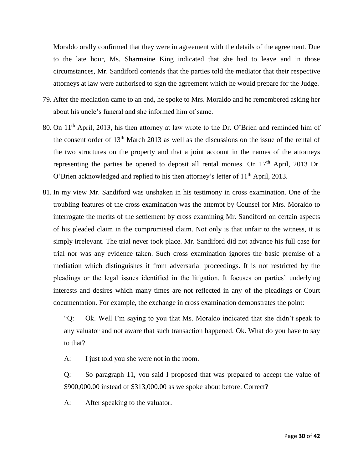Moraldo orally confirmed that they were in agreement with the details of the agreement. Due to the late hour, Ms. Sharmaine King indicated that she had to leave and in those circumstances, Mr. Sandiford contends that the parties told the mediator that their respective attorneys at law were authorised to sign the agreement which he would prepare for the Judge.

- 79. After the mediation came to an end, he spoke to Mrs. Moraldo and he remembered asking her about his uncle's funeral and she informed him of same.
- 80. On 11<sup>th</sup> April, 2013, his then attorney at law wrote to the Dr. O'Brien and reminded him of the consent order of 13th March 2013 as well as the discussions on the issue of the rental of the two structures on the property and that a joint account in the names of the attorneys representing the parties be opened to deposit all rental monies. On  $17<sup>th</sup>$  April, 2013 Dr. O'Brien acknowledged and replied to his then attorney's letter of 11<sup>th</sup> April, 2013.
- 81. In my view Mr. Sandiford was unshaken in his testimony in cross examination. One of the troubling features of the cross examination was the attempt by Counsel for Mrs. Moraldo to interrogate the merits of the settlement by cross examining Mr. Sandiford on certain aspects of his pleaded claim in the compromised claim. Not only is that unfair to the witness, it is simply irrelevant. The trial never took place. Mr. Sandiford did not advance his full case for trial nor was any evidence taken. Such cross examination ignores the basic premise of a mediation which distinguishes it from adversarial proceedings. It is not restricted by the pleadings or the legal issues identified in the litigation. It focuses on parties' underlying interests and desires which many times are not reflected in any of the pleadings or Court documentation. For example, the exchange in cross examination demonstrates the point:

"Q: Ok. Well I'm saying to you that Ms. Moraldo indicated that she didn't speak to any valuator and not aware that such transaction happened. Ok. What do you have to say to that?

A: I just told you she were not in the room.

Q: So paragraph 11, you said I proposed that was prepared to accept the value of \$900,000.00 instead of \$313,000.00 as we spoke about before. Correct?

A: After speaking to the valuator.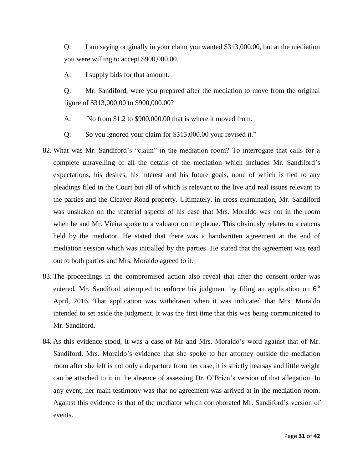Q: I am saying originally in your claim you wanted \$313,000.00, but at the mediation you were willing to accept \$900,000.00.

A: I supply bids for that amount.

Q: Mr. Sandiford, were you prepared after the mediation to move from the original figure of \$313,000.00 to \$900,000.00?

- A: No from \$1.2 to \$900,000.00 that is where it moved from.
- Q: So you ignored your claim for \$313,000.00 your revised it."
- 82. What was Mr. Sandiford's "claim" in the mediation room? To interrogate that calls for a complete unravelling of all the details of the mediation which includes Mr. Sandiford's expectations, his desires, his interest and his future goals, none of which is tied to any pleadings filed in the Court but all of which is relevant to the live and real issues relevant to the parties and the Cleaver Road property. Ultimately, in cross examination, Mr. Sandiford was unshaken on the material aspects of his case that Mrs. Moraldo was not in the room when he and Mr. Vieira spoke to a valuator on the phone. This obviously relates to a caucus held by the mediator. He stated that there was a handwritten agreement at the end of mediation session which was initialled by the parties. He stated that the agreement was read out to both parties and Mrs. Moraldo agreed to it.
- 83. The proceedings in the compromised action also reveal that after the consent order was entered, Mr. Sandiford attempted to enforce his judgment by filing an application on 6<sup>th</sup> April, 2016. That application was withdrawn when it was indicated that Mrs. Moraldo intended to set aside the judgment. It was the first time that this was being communicated to Mr. Sandiford.
- 84. As this evidence stood, it was a case of Mr and Mrs. Moraldo's word against that of Mr. Sandiford. Mrs. Moraldo's evidence that she spoke to her attorney outside the mediation room after she left is not only a departure from her case, it is strictly hearsay and little weight can be attached to it in the absence of assessing Dr. O'Brien's version of that allegation. In any event, her main testimony was that no agreement was arrived at in the mediation room. Against this evidence is that of the mediator which corroborated Mr. Sandiford's version of events.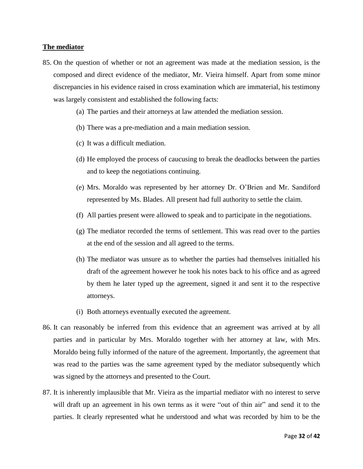## **The mediator**

- 85. On the question of whether or not an agreement was made at the mediation session, is the composed and direct evidence of the mediator, Mr. Vieira himself. Apart from some minor discrepancies in his evidence raised in cross examination which are immaterial, his testimony was largely consistent and established the following facts:
	- (a) The parties and their attorneys at law attended the mediation session.
	- (b) There was a pre-mediation and a main mediation session.
	- (c) It was a difficult mediation.
	- (d) He employed the process of caucusing to break the deadlocks between the parties and to keep the negotiations continuing.
	- (e) Mrs. Moraldo was represented by her attorney Dr. O'Brien and Mr. Sandiford represented by Ms. Blades. All present had full authority to settle the claim.
	- (f) All parties present were allowed to speak and to participate in the negotiations.
	- (g) The mediator recorded the terms of settlement. This was read over to the parties at the end of the session and all agreed to the terms.
	- (h) The mediator was unsure as to whether the parties had themselves initialled his draft of the agreement however he took his notes back to his office and as agreed by them he later typed up the agreement, signed it and sent it to the respective attorneys.
	- (i) Both attorneys eventually executed the agreement.
- 86. It can reasonably be inferred from this evidence that an agreement was arrived at by all parties and in particular by Mrs. Moraldo together with her attorney at law, with Mrs. Moraldo being fully informed of the nature of the agreement. Importantly, the agreement that was read to the parties was the same agreement typed by the mediator subsequently which was signed by the attorneys and presented to the Court.
- 87. It is inherently implausible that Mr. Vieira as the impartial mediator with no interest to serve will draft up an agreement in his own terms as it were "out of thin air" and send it to the parties. It clearly represented what he understood and what was recorded by him to be the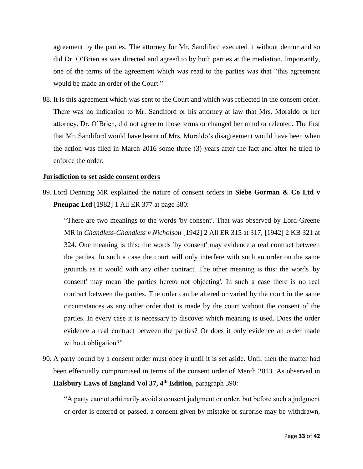agreement by the parties. The attorney for Mr. Sandiford executed it without demur and so did Dr. O'Brien as was directed and agreed to by both parties at the mediation. Importantly, one of the terms of the agreement which was read to the parties was that "this agreement would be made an order of the Court."

88. It is this agreement which was sent to the Court and which was reflected in the consent order. There was no indication to Mr. Sandiford or his attorney at law that Mrs. Moraldo or her attorney, Dr. O'Brien, did not agree to those terms or changed her mind or relented. The first that Mr. Sandiford would have learnt of Mrs. Moraldo's disagreement would have been when the action was filed in March 2016 some three (3) years after the fact and after he tried to enforce the order.

#### **Jurisdiction to set aside consent orders**

89. Lord Denning MR explained the nature of consent orders in **Siebe Gorman & Co Ltd v Pneupac Ltd** [1982] 1 All ER 377 at page 380:

"There are two meanings to the words 'by consent'. That was observed by Lord Greene MR in *Chandless-Chandless v Nicholson* [\[1942\] 2 All ER 315 at 317,](http://www.lexisnexis.com/uk/legal/search/enhRunRemoteLink.do?A=0.12207809604716091&service=citation&langcountry=GB&backKey=20_T27578352879&linkInfo=F%23GB%23ALLER%23vol%252%25sel1%251942%25page%25315%25year%251942%25tpage%25317%25sel2%252%25&ersKey=23_T27578352863) [\[1942\] 2 KB 321 at](http://www.lexisnexis.com/uk/legal/search/enhRunRemoteLink.do?A=0.11980912245330555&service=citation&langcountry=GB&backKey=20_T27578352879&linkInfo=F%23GB%23KB%23vol%252%25sel1%251942%25page%25321%25year%251942%25tpage%25324%25sel2%252%25&ersKey=23_T27578352863)  [324.](http://www.lexisnexis.com/uk/legal/search/enhRunRemoteLink.do?A=0.11980912245330555&service=citation&langcountry=GB&backKey=20_T27578352879&linkInfo=F%23GB%23KB%23vol%252%25sel1%251942%25page%25321%25year%251942%25tpage%25324%25sel2%252%25&ersKey=23_T27578352863) One meaning is this: the words 'by consent' may evidence a real contract between the parties. In such a case the court will only interfere with such an order on the same grounds as it would with any other contract. The other meaning is this: the words 'by consent' may mean 'the parties hereto not objecting'. In such a case there is no real contract between the parties. The order can be altered or varied by the court in the same circumstances as any other order that is made by the court without the consent of the parties. In every case it is necessary to discover which meaning is used. Does the order evidence a real contract between the parties? Or does it only evidence an order made without obligation?"

90. A party bound by a consent order must obey it until it is set aside. Until then the matter had been effectually compromised in terms of the consent order of March 2013. As observed in **Halsbury Laws of England Vol 37, 4th Edition**, paragraph 390:

"A party cannot arbitrarily avoid a consent judgment or order, but before such a judgment or order is entered or passed, a consent given by mistake or surprise may be withdrawn,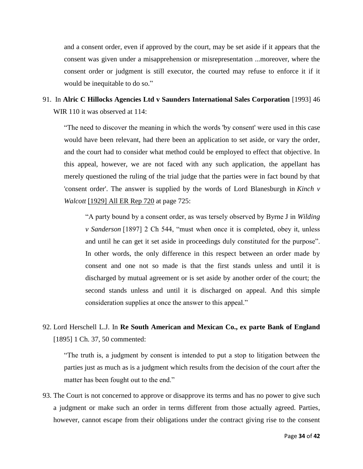and a consent order, even if approved by the court, may be set aside if it appears that the consent was given under a misapprehension or misrepresentation ...moreover, where the consent order or judgment is still executor, the courted may refuse to enforce it if it would be inequitable to do so."

# 91. In **Alric C Hillocks Agencies Ltd v Saunders International Sales Corporation** [1993] 46 WIR 110 it was observed at 114:

"The need to discover the meaning in which the words 'by consent' were used in this case would have been relevant, had there been an application to set aside, or vary the order, and the court had to consider what method could be employed to effect that objective. In this appeal, however, we are not faced with any such application, the appellant has merely questioned the ruling of the trial judge that the parties were in fact bound by that 'consent order'. The answer is supplied by the words of Lord Blanesburgh in *Kinch v Walcott* [\[1929\] All ER Rep 720](http://www.lexisnexis.com/uk/legal/search/enhRunRemoteLink.do?A=0.7549337631975093&service=citation&langcountry=GB&backKey=20_T27578404637&linkInfo=F%23GB%23ALLERREP%23sel1%251929%25page%25720%25year%251929%25&ersKey=23_T27578403090) at page 725:

"A party bound by a consent order, as was tersely observed by Byrne J in *Wilding v Sanderson* [1897] 2 Ch 544, "must when once it is completed, obey it, unless and until he can get it set aside in proceedings duly constituted for the purpose". In other words, the only difference in this respect between an order made by consent and one not so made is that the first stands unless and until it is discharged by mutual agreement or is set aside by another order of the court; the second stands unless and until it is discharged on appeal. And this simple consideration supplies at once the answer to this appeal."

# 92. Lord Herschell L.J. In **Re South American and Mexican Co., ex parte Bank of England** [1895] 1 Ch. 37, 50 commented:

"The truth is, a judgment by consent is intended to put a stop to litigation between the parties just as much as is a judgment which results from the decision of the court after the matter has been fought out to the end."

93. The Court is not concerned to approve or disapprove its terms and has no power to give such a judgment or make such an order in terms different from those actually agreed. Parties, however, cannot escape from their obligations under the contract giving rise to the consent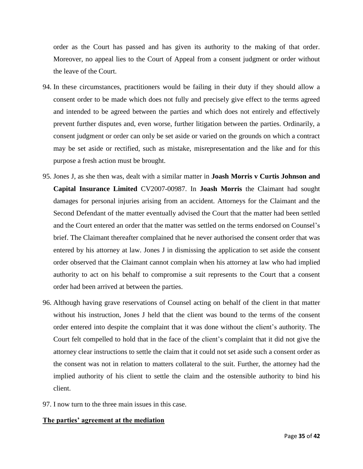order as the Court has passed and has given its authority to the making of that order. Moreover, no appeal lies to the Court of Appeal from a consent judgment or order without the leave of the Court.

- 94. In these circumstances, practitioners would be failing in their duty if they should allow a consent order to be made which does not fully and precisely give effect to the terms agreed and intended to be agreed between the parties and which does not entirely and effectively prevent further disputes and, even worse, further litigation between the parties. Ordinarily, a consent judgment or order can only be set aside or varied on the grounds on which a contract may be set aside or rectified, such as mistake, misrepresentation and the like and for this purpose a fresh action must be brought.
- 95. Jones J, as she then was, dealt with a similar matter in **Joash Morris v Curtis Johnson and Capital Insurance Limited** CV2007-00987. In **Joash Morris** the Claimant had sought damages for personal injuries arising from an accident. Attorneys for the Claimant and the Second Defendant of the matter eventually advised the Court that the matter had been settled and the Court entered an order that the matter was settled on the terms endorsed on Counsel's brief. The Claimant thereafter complained that he never authorised the consent order that was entered by his attorney at law. Jones J in dismissing the application to set aside the consent order observed that the Claimant cannot complain when his attorney at law who had implied authority to act on his behalf to compromise a suit represents to the Court that a consent order had been arrived at between the parties.
- 96. Although having grave reservations of Counsel acting on behalf of the client in that matter without his instruction, Jones J held that the client was bound to the terms of the consent order entered into despite the complaint that it was done without the client's authority. The Court felt compelled to hold that in the face of the client's complaint that it did not give the attorney clear instructions to settle the claim that it could not set aside such a consent order as the consent was not in relation to matters collateral to the suit. Further, the attorney had the implied authority of his client to settle the claim and the ostensible authority to bind his client.
- 97. I now turn to the three main issues in this case.

## **The parties' agreement at the mediation**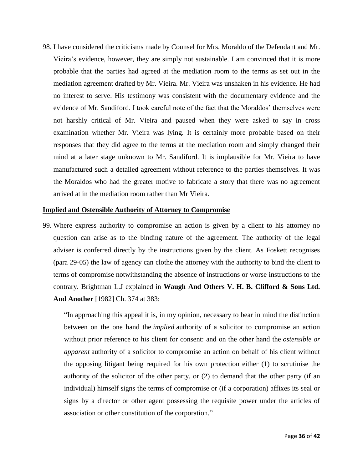98. I have considered the criticisms made by Counsel for Mrs. Moraldo of the Defendant and Mr. Vieira's evidence, however, they are simply not sustainable. I am convinced that it is more probable that the parties had agreed at the mediation room to the terms as set out in the mediation agreement drafted by Mr. Vieira. Mr. Vieira was unshaken in his evidence. He had no interest to serve. His testimony was consistent with the documentary evidence and the evidence of Mr. Sandiford. I took careful note of the fact that the Moraldos' themselves were not harshly critical of Mr. Vieira and paused when they were asked to say in cross examination whether Mr. Vieira was lying. It is certainly more probable based on their responses that they did agree to the terms at the mediation room and simply changed their mind at a later stage unknown to Mr. Sandiford. It is implausible for Mr. Vieira to have manufactured such a detailed agreement without reference to the parties themselves. It was the Moraldos who had the greater motive to fabricate a story that there was no agreement arrived at in the mediation room rather than Mr Vieira.

#### **Implied and Ostensible Authority of Attorney to Compromise**

99. Where express authority to compromise an action is given by a client to his attorney no question can arise as to the binding nature of the agreement. The authority of the legal adviser is conferred directly by the instructions given by the client. As Foskett recognises (para 29-05) the law of agency can clothe the attorney with the authority to bind the client to terms of compromise notwithstanding the absence of instructions or worse instructions to the contrary. Brightman L.J explained in **Waugh And Others V. H. B. Clifford & Sons Ltd. And Another** [1982] Ch. 374 at 383:

"In approaching this appeal it is, in my opinion, necessary to bear in mind the distinction between on the one hand the *implied* authority of a solicitor to compromise an action without prior reference to his client for consent: and on the other hand the *ostensible or apparent* authority of a solicitor to compromise an action on behalf of his client without the opposing litigant being required for his own protection either (1) to scrutinise the authority of the solicitor of the other party, or (2) to demand that the other party (if an individual) himself signs the terms of compromise or (if a corporation) affixes its seal or signs by a director or other agent possessing the requisite power under the articles of association or other constitution of the corporation."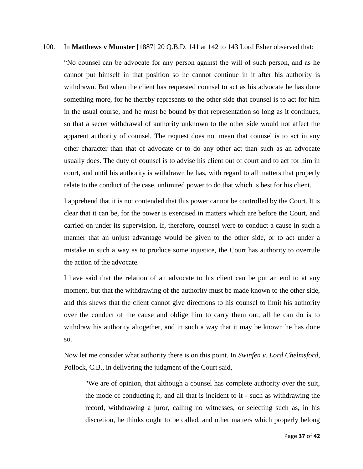### 100. In **Matthews v Munster** [1887] 20 Q.B.D. 141 at 142 to 143 Lord Esher observed that:

"No counsel can be advocate for any person against the will of such person, and as he cannot put himself in that position so he cannot continue in it after his authority is withdrawn. But when the client has requested counsel to act as his advocate he has done something more, for he thereby represents to the other side that counsel is to act for him in the usual course, and he must be bound by that representation so long as it continues, so that a secret withdrawal of authority unknown to the other side would not affect the apparent authority of counsel. The request does not mean that counsel is to act in any other character than that of advocate or to do any other act than such as an advocate usually does. The duty of counsel is to advise his client out of court and to act for him in court, and until his authority is withdrawn he has, with regard to all matters that properly relate to the conduct of the case, unlimited power to do that which is best for his client.

I apprehend that it is not contended that this power cannot be controlled by the Court. It is clear that it can be, for the power is exercised in matters which are before the Court, and carried on under its supervision. If, therefore, counsel were to conduct a cause in such a manner that an unjust advantage would be given to the other side, or to act under a mistake in such a way as to produce some injustice, the Court has authority to overrule the action of the advocate.

I have said that the relation of an advocate to his client can be put an end to at any moment, but that the withdrawing of the authority must be made known to the other side, and this shews that the client cannot give directions to his counsel to limit his authority over the conduct of the cause and oblige him to carry them out, all he can do is to withdraw his authority altogether, and in such a way that it may be known he has done so.

Now let me consider what authority there is on this point. In *Swinfen v. Lord Chelmsford*, Pollock, C.B., in delivering the judgment of the Court said,

"We are of opinion, that although a counsel has complete authority over the suit, the mode of conducting it, and all that is incident to it - such as withdrawing the record, withdrawing a juror, calling no witnesses, or selecting such as, in his discretion, he thinks ought to be called, and other matters which properly belong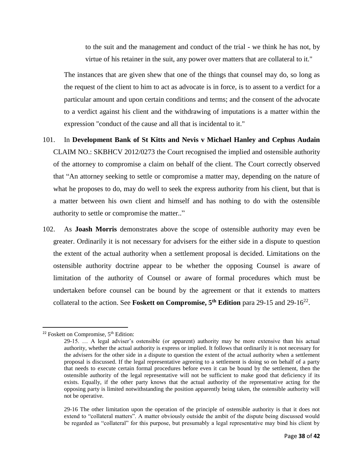to the suit and the management and conduct of the trial - we think he has not, by virtue of his retainer in the suit, any power over matters that are collateral to it."

The instances that are given shew that one of the things that counsel may do, so long as the request of the client to him to act as advocate is in force, is to assent to a verdict for a particular amount and upon certain conditions and terms; and the consent of the advocate to a verdict against his client and the withdrawing of imputations is a matter within the expression "conduct of the cause and all that is incidental to it."

- 101. In **Development Bank of St Kitts and Nevis v Michael Hanley and Cephus Audain**  CLAIM NO.: SKBHCV 2012/0273 the Court recognised the implied and ostensible authority of the attorney to compromise a claim on behalf of the client. The Court correctly observed that "An attorney seeking to settle or compromise a matter may, depending on the nature of what he proposes to do, may do well to seek the express authority from his client, but that is a matter between his own client and himself and has nothing to do with the ostensible authority to settle or compromise the matter.."
- 102. As **Joash Morris** demonstrates above the scope of ostensible authority may even be greater. Ordinarily it is not necessary for advisers for the either side in a dispute to question the extent of the actual authority when a settlement proposal is decided. Limitations on the ostensible authority doctrine appear to be whether the opposing Counsel is aware of limitation of the authority of Counsel or aware of formal procedures which must be undertaken before counsel can be bound by the agreement or that it extends to matters collateral to the action. See **Foskett on Compromise, 5th Edition** para 29-15 and 29-16<sup>22</sup> .

 $\overline{a}$ 

<sup>&</sup>lt;sup>22</sup> Foskett on Compromise, 5<sup>th</sup> Edition:

<sup>29-15. …</sup> A legal adviser's ostensible (or apparent) authority may be more extensive than his actual authority, whether the actual authority is express or implied. It follows that ordinarily it is not necessary for the advisers for the other side in a dispute to question the extent of the actual authority when a settlement proposal is discussed. If the legal representative agreeing to a settlement is doing so on behalf of a party that needs to execute certain formal procedures before even it can be bound by the settlement, then the ostensible authority of the legal representative will not be sufficient to make good that deficiency if its exists. Equally, if the other party knows that the actual authority of the representative acting for the opposing party is limited notwithstanding the position apparently being taken, the ostensible authority will not be operative.

<sup>29-16</sup> The other limitation upon the operation of the principle of ostensible authority is that it does not extend to "collateral matters". A matter obviously outside the ambit of the dispute being discussed would be regarded as "collateral" for this purpose, but presumably a legal representative may bind his client by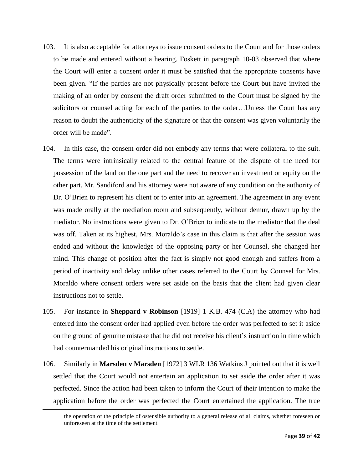- 103. It is also acceptable for attorneys to issue consent orders to the Court and for those orders to be made and entered without a hearing. Foskett in paragraph 10-03 observed that where the Court will enter a consent order it must be satisfied that the appropriate consents have been given. "If the parties are not physically present before the Court but have invited the making of an order by consent the draft order submitted to the Court must be signed by the solicitors or counsel acting for each of the parties to the order…Unless the Court has any reason to doubt the authenticity of the signature or that the consent was given voluntarily the order will be made".
- 104. In this case, the consent order did not embody any terms that were collateral to the suit. The terms were intrinsically related to the central feature of the dispute of the need for possession of the land on the one part and the need to recover an investment or equity on the other part. Mr. Sandiford and his attorney were not aware of any condition on the authority of Dr. O'Brien to represent his client or to enter into an agreement. The agreement in any event was made orally at the mediation room and subsequently, without demur, drawn up by the mediator. No instructions were given to Dr. O'Brien to indicate to the mediator that the deal was off. Taken at its highest, Mrs. Moraldo's case in this claim is that after the session was ended and without the knowledge of the opposing party or her Counsel, she changed her mind. This change of position after the fact is simply not good enough and suffers from a period of inactivity and delay unlike other cases referred to the Court by Counsel for Mrs. Moraldo where consent orders were set aside on the basis that the client had given clear instructions not to settle.
- 105. For instance in **Sheppard v Robinson** [1919] 1 K.B. 474 (C.A) the attorney who had entered into the consent order had applied even before the order was perfected to set it aside on the ground of genuine mistake that he did not receive his client's instruction in time which had countermanded his original instructions to settle.
- 106. Similarly in **Marsden v Marsden** [1972] 3 WLR 136 Watkins J pointed out that it is well settled that the Court would not entertain an application to set aside the order after it was perfected. Since the action had been taken to inform the Court of their intention to make the application before the order was perfected the Court entertained the application. The true

 $\overline{\phantom{a}}$ 

the operation of the principle of ostensible authority to a general release of all claims, whether foreseen or unforeseen at the time of the settlement.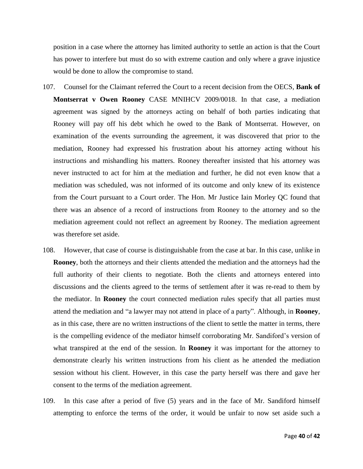position in a case where the attorney has limited authority to settle an action is that the Court has power to interfere but must do so with extreme caution and only where a grave injustice would be done to allow the compromise to stand.

- 107. Counsel for the Claimant referred the Court to a recent decision from the OECS, **Bank of Montserrat v Owen Rooney** CASE MNIHCV 2009/0018. In that case, a mediation agreement was signed by the attorneys acting on behalf of both parties indicating that Rooney will pay off his debt which he owed to the Bank of Montserrat. However, on examination of the events surrounding the agreement, it was discovered that prior to the mediation, Rooney had expressed his frustration about his attorney acting without his instructions and mishandling his matters. Rooney thereafter insisted that his attorney was never instructed to act for him at the mediation and further, he did not even know that a mediation was scheduled, was not informed of its outcome and only knew of its existence from the Court pursuant to a Court order. The Hon. Mr Justice Iain Morley QC found that there was an absence of a record of instructions from Rooney to the attorney and so the mediation agreement could not reflect an agreement by Rooney. The mediation agreement was therefore set aside.
- 108. However, that case of course is distinguishable from the case at bar. In this case, unlike in **Rooney**, both the attorneys and their clients attended the mediation and the attorneys had the full authority of their clients to negotiate. Both the clients and attorneys entered into discussions and the clients agreed to the terms of settlement after it was re-read to them by the mediator. In **Rooney** the court connected mediation rules specify that all parties must attend the mediation and "a lawyer may not attend in place of a party". Although, in **Rooney**, as in this case, there are no written instructions of the client to settle the matter in terms, there is the compelling evidence of the mediator himself corroborating Mr. Sandiford's version of what transpired at the end of the session. In **Rooney** it was important for the attorney to demonstrate clearly his written instructions from his client as he attended the mediation session without his client. However, in this case the party herself was there and gave her consent to the terms of the mediation agreement.
- 109. In this case after a period of five (5) years and in the face of Mr. Sandiford himself attempting to enforce the terms of the order, it would be unfair to now set aside such a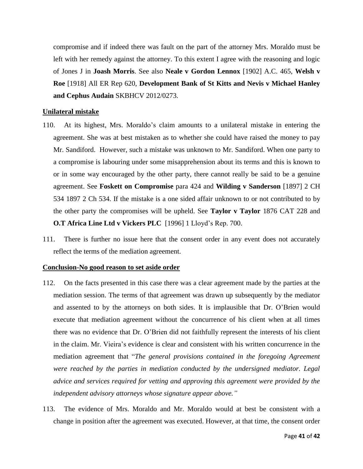compromise and if indeed there was fault on the part of the attorney Mrs. Moraldo must be left with her remedy against the attorney. To this extent I agree with the reasoning and logic of Jones J in **Joash Morris**. See also **Neale v Gordon Lennox** [1902] A.C. 465, **Welsh v Roe** [1918] All ER Rep 620, **Development Bank of St Kitts and Nevis v Michael Hanley and Cephus Audain** SKBHCV 2012/0273.

#### **Unilateral mistake**

- 110. At its highest, Mrs. Moraldo's claim amounts to a unilateral mistake in entering the agreement. She was at best mistaken as to whether she could have raised the money to pay Mr. Sandiford. However, such a mistake was unknown to Mr. Sandiford. When one party to a compromise is labouring under some misapprehension about its terms and this is known to or in some way encouraged by the other party, there cannot really be said to be a genuine agreement. See **Foskett on Compromise** para 424 and **Wilding v Sanderson** [1897] 2 CH 534 1897 2 Ch 534. If the mistake is a one sided affair unknown to or not contributed to by the other party the compromises will be upheld. See **Taylor v Taylor** 1876 CAT 228 and **O.T Africa Line Ltd v Vickers PLC** [1996] 1 Lloyd's Rep. 700.
- 111. There is further no issue here that the consent order in any event does not accurately reflect the terms of the mediation agreement.

### **Conclusion-No good reason to set aside order**

- 112. On the facts presented in this case there was a clear agreement made by the parties at the mediation session. The terms of that agreement was drawn up subsequently by the mediator and assented to by the attorneys on both sides. It is implausible that Dr. O'Brien would execute that mediation agreement without the concurrence of his client when at all times there was no evidence that Dr. O'Brien did not faithfully represent the interests of his client in the claim. Mr. Vieira's evidence is clear and consistent with his written concurrence in the mediation agreement that "*The general provisions contained in the foregoing Agreement were reached by the parties in mediation conducted by the undersigned mediator. Legal advice and services required for vetting and approving this agreement were provided by the independent advisory attorneys whose signature appear above."*
- 113. The evidence of Mrs. Moraldo and Mr. Moraldo would at best be consistent with a change in position after the agreement was executed. However, at that time, the consent order